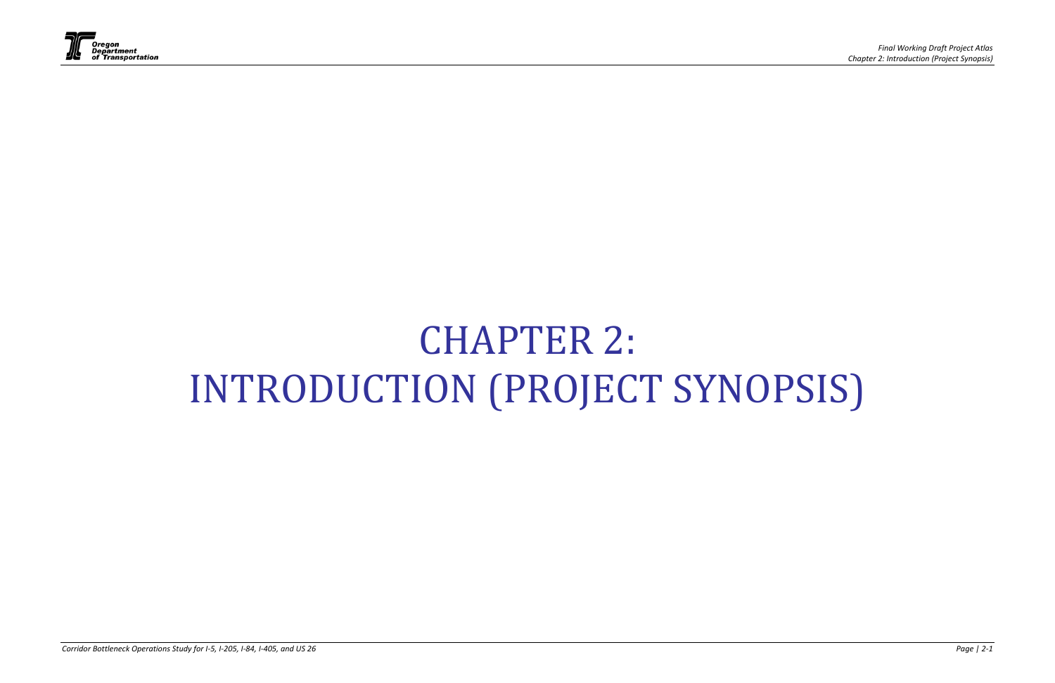

# CHAPTER 2: INTRODUCTION (PROJECT SYNOPSIS)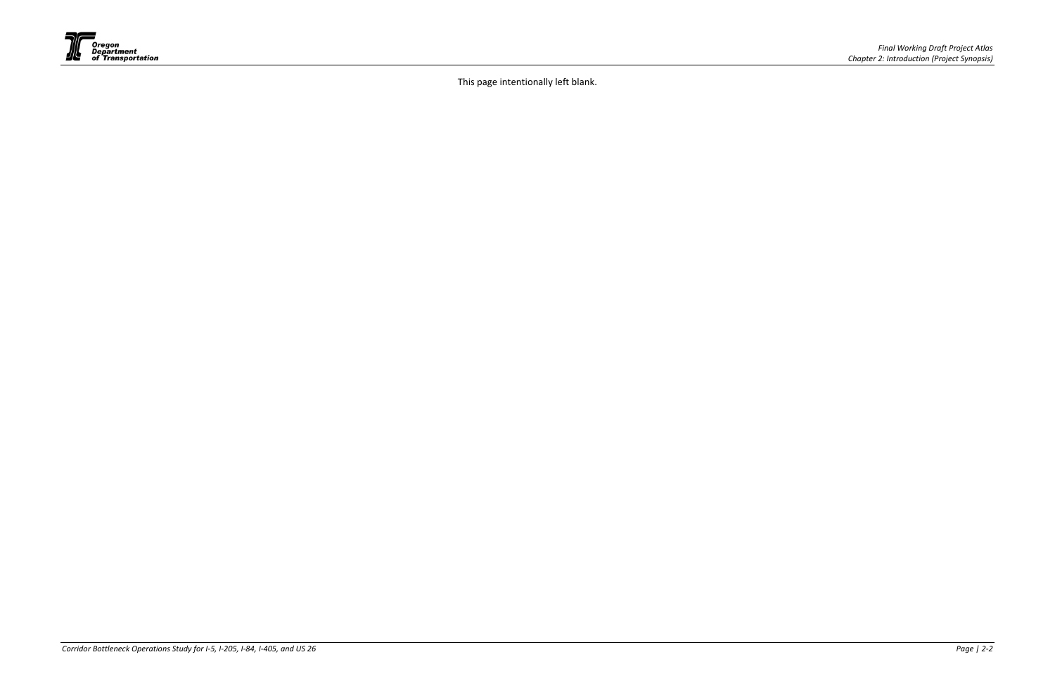

This page intentionally left blank.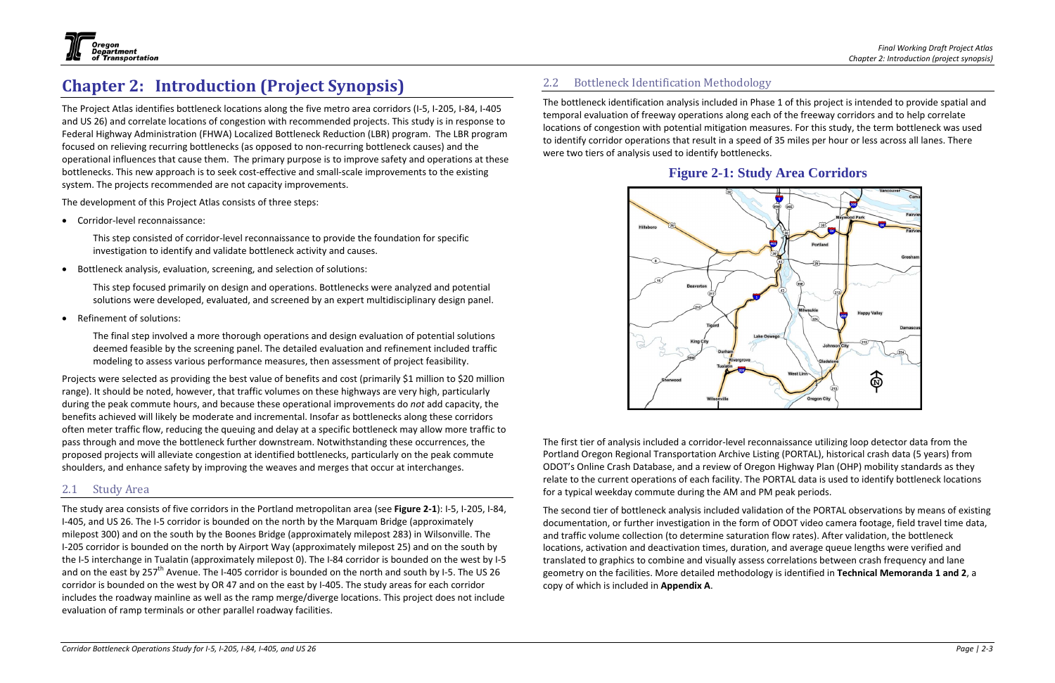

## **Chapter 2: Introduction (Project Synopsis)**

The Project Atlas identifies bottleneck locations along the five metro area corridors (I‐5, I‐205, I‐84, I‐405 and US 26) and correlate locations of congestion with recommended projects. This study is in response to Federal Highway Administration (FHWA) Localized Bottleneck Reduction (LBR) program. The LBR program focused on relieving recurring bottlenecks (as opposed to non‐recurring bottleneck causes) and the operational influences that cause them. The primary purpose is to improve safety and operations at these bottlenecks. This new approach is to seek cost‐effective and small‐scale improvements to the existing system. The projects recommended are not capacity improvements.

 $\bullet$ Bottleneck analysis, evaluation, screening, and selection of solutions:

<span id="page-2-0"></span>The development of this Project Atlas consists of three steps:

• Corridor‐level reconnaissance:

This step consisted of corridor‐level reconnaissance to provide the foundation for specific investigation to identify and validate bottleneck activity and causes.

This step focused primarily on design and operations. Bottlenecks were analyzed and potential solutions were developed, evaluated, and screened by an expert multidisciplinary design panel.

•Refinement of solutions:

> The final step involved <sup>a</sup> more thorough operations and design evaluation of potential solutions deemed feasible by the screening panel. The detailed evaluation and refinement included traffic modeling to assess various performance measures, then assessment of project feasibility.

Projects were selected as providing the best value of benefits and cost (primarily \$1 million to \$20 million range). It should be noted, however, that traffic volumes on these highways are very high, particularly during the peak commute hours, and because these operational improvements do *not* add capacity, the benefits achieved will likely be moderate and incremental. Insofar as bottlenecks along these corridors often meter traffic flow, reducing the queuing and delay at <sup>a</sup> specific bottleneck may allow more traffic to pass through and move the bottleneck further downstream. Notwithstanding these occurrences, the proposed projects will alleviate congestion at identified bottlenecks, particularly on the peak commute shoulders, and enhance safety by improving the weaves and merges that occur at interchanges.

#### 2.1Study Area

The study area consists of five corridors in the Portland metropolitan area (see **[Figure](#page-2-0) 2‐1**): I‐5, I‐205, I‐84, I‐405, and US 26. The I‐5 corridor is bounded on the north by the Marquam Bridge (approximately milepost 300) and on the south by the Boones Bridge (approximately milepost 283) in Wilsonville. The I‐205 corridor is bounded on the north by Airport Way (approximately milepost 25) and on the south by the I‐5 interchange in Tualatin (approximately milepost 0). The I‐84 corridor is bounded on the west by I‐5 and on the east by 257<sup>th</sup> Avenue. The I-405 corridor is bounded on the north and south by I-5. The US 26 corridor is bounded on the west by OR 47 and on the east by I‐405. The study areas for each corridor includes the roadway mainline as well as the ramp merge/diverge locations. This project does not include evaluation of ramp terminals or other parallel roadway facilities.

#### 2.2Bottleneck Identification Methodology

The bottleneck identification analysis included in Phase 1 of this project is intended to provide spatial and temporal evaluation of freeway operations along each of the freeway corridors and to help correlate locations of congestion with potential mitigation measures. For this study, the term bottleneck was used to identify corridor operations that result in <sup>a</sup> speed of 35 miles per hour or less across all lanes. There were two tiers of analysis used to identify bottlenecks.

### **Figure 2-1: Study Area Corridors**



The first tier of analysis included <sup>a</sup> corridor‐level reconnaissance utilizing loop detector data from the Portland Oregon Regional Transportation Archive Listing (PORTAL), historical crash data (5 years) from ODOT's Online Crash Database, and <sup>a</sup> review of Oregon Highway Plan (OHP) mobility standards as they relate to the current operations of each facility. The PORTAL data is used to identify bottleneck locations for a typical weekday commute during the AM and PM peak periods.

The second tier of bottleneck analysis included validation of the PORTAL observations by means of existing documentation, or further investigation in the form of ODOT video camera footage, field travel time data, and traffic volume collection (to determine saturation flow rates). After validation, the bottleneck locations, activation and deactivation times, duration, and average queue lengths were verified and translated to graphics to combine and visually assess correlations between crash frequency and lane geometry on the facilities. More detailed methodology is identified in **Technical Memoranda 1 and 2**, <sup>a</sup> copy of which is included in **Appendix A**.